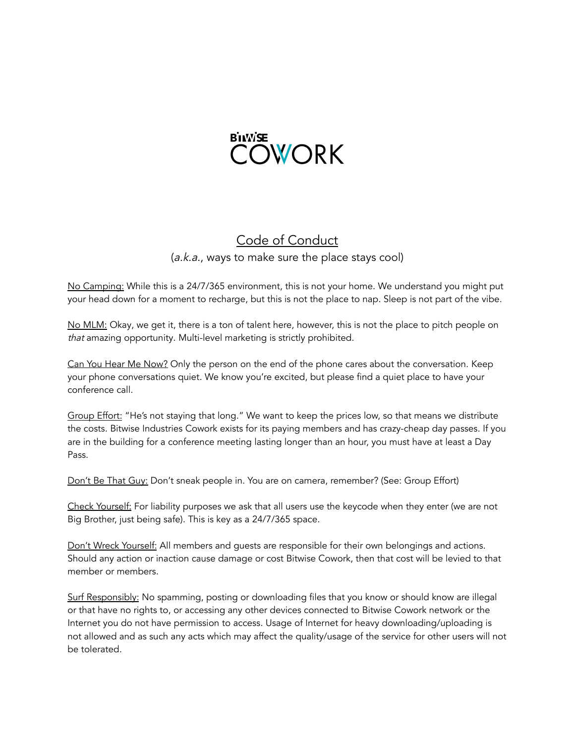

## Code of Conduct (a.k.a., ways to make sure the place stays cool)

No Camping: While this is a 24/7/365 environment, this is not your home. We understand you might put your head down for a moment to recharge, but this is not the place to nap. Sleep is not part of the vibe.

No MLM: Okay, we get it, there is a ton of talent here, however, this is not the place to pitch people on that amazing opportunity. Multi-level marketing is strictly prohibited.

Can You Hear Me Now? Only the person on the end of the phone cares about the conversation. Keep your phone conversations quiet. We know you're excited, but please find a quiet place to have your conference call.

Group Effort: "He's not staying that long." We want to keep the prices low, so that means we distribute the costs. Bitwise Industries Cowork exists for its paying members and has crazy-cheap day passes. If you are in the building for a conference meeting lasting longer than an hour, you must have at least a Day Pass.

Don't Be That Guy: Don't sneak people in. You are on camera, remember? (See: Group Effort)

Check Yourself: For liability purposes we ask that all users use the keycode when they enter (we are not Big Brother, just being safe). This is key as a 24/7/365 space.

Don't Wreck Yourself: All members and guests are responsible for their own belongings and actions. Should any action or inaction cause damage or cost Bitwise Cowork, then that cost will be levied to that member or members.

Surf Responsibly: No spamming, posting or downloading files that you know or should know are illegal or that have no rights to, or accessing any other devices connected to Bitwise Cowork network or the Internet you do not have permission to access. Usage of Internet for heavy downloading/uploading is not allowed and as such any acts which may affect the quality/usage of the service for other users will not be tolerated.